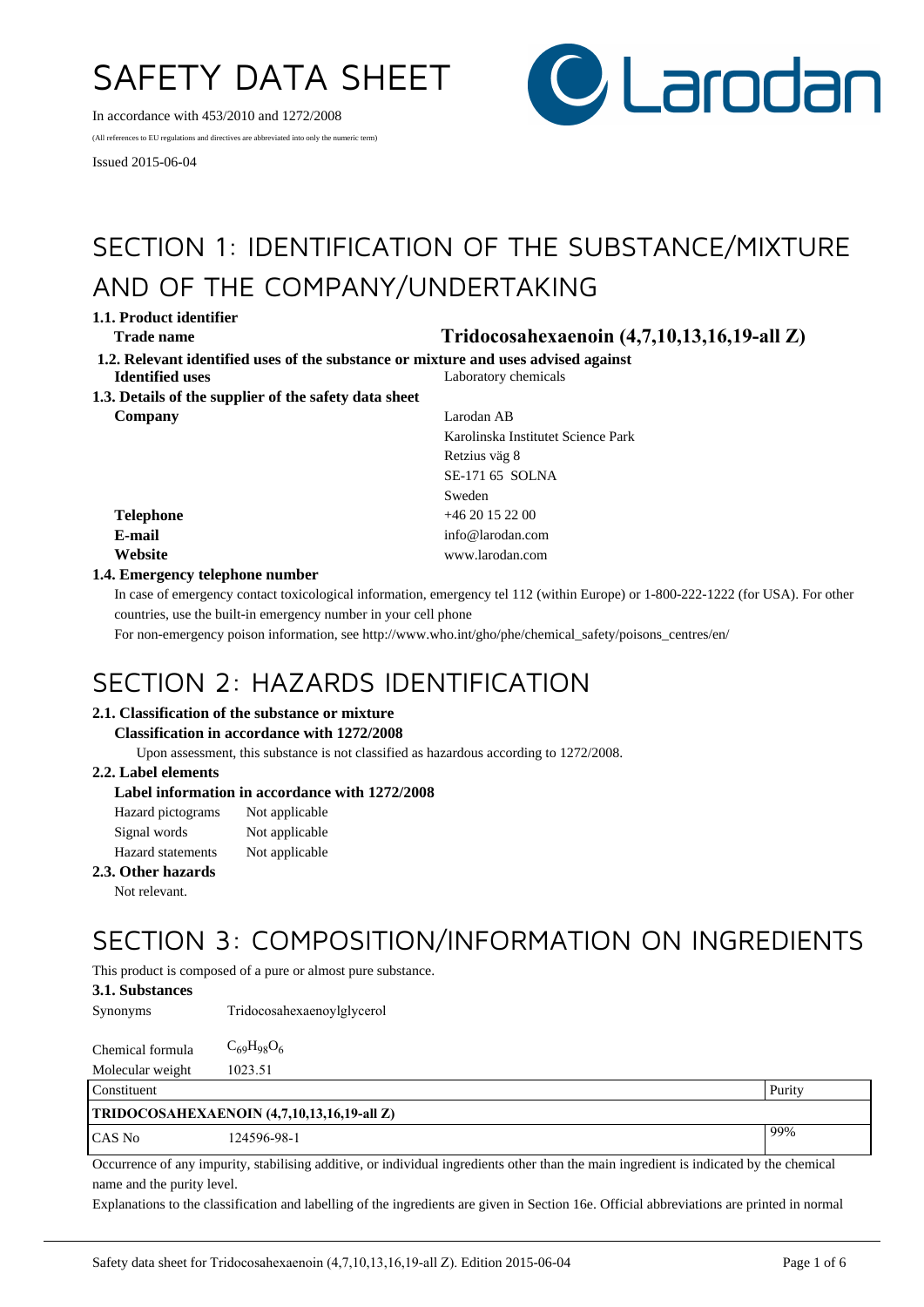# SAFETY DATA SHEET

In accordance with 453/2010 and 1272/2008

(All references to EU regulations and directives are abbreviated into only the numeric term)

Issued 2015-06-04



# SECTION 1: IDENTIFICATION OF THE SUBSTANCE/MIXTURE AND OF THE COMPANY/UNDERTAKING

**1.1. Product identifier**

- **Trade name Tridocosahexaenoin (4,7,10,13,16,19-all Z)**
- **1.2. Relevant identified uses of the substance or mixture and uses advised against Identified uses** Laboratory chemicals
- **1.3. Details of the supplier of the safety data sheet Company** Larodan AB

Karolinska Institutet Science Park Retzius väg 8 SE-171 65 SOLNA Sweden **Telephone** +46 20 15 22 00 **E-mail** info@larodan.com **Website** www.larodan.com

### **1.4. Emergency telephone number**

In case of emergency contact toxicological information, emergency tel 112 (within Europe) or 1-800-222-1222 (for USA). For other countries, use the built-in emergency number in your cell phone

For non-emergency poison information, see http://www.who.int/gho/phe/chemical\_safety/poisons\_centres/en/

# SECTION 2: HAZARDS IDENTIFICATION

### **2.1. Classification of the substance or mixture**

#### **Classification in accordance with 1272/2008**

Upon assessment, this substance is not classified as hazardous according to 1272/2008.

### **2.2. Label elements**

### **Label information in accordance with 1272/2008**

| Hazard pictograms        | Not applicable |
|--------------------------|----------------|
| Signal words             | Not applicable |
| <b>Hazard</b> statements | Not applicable |

### **2.3. Other hazards**

Not relevant.

# SECTION 3: COMPOSITION/INFORMATION ON INGREDIENTS

This product is composed of a pure or almost pure substance.

### **3.1. Substances**

Synonyms Tridocosahexaenoylglycerol

| Chemical formula | $C_{69}H_{98}O_6$ |
|------------------|-------------------|
| Molecular weight | 1023.51           |
| تبارين الطا      |                   |

| Constituent                                |             | Purity |
|--------------------------------------------|-------------|--------|
| TRIDOCOSAHEXAENOIN (4,7,10,13,16,19-all Z) |             |        |
| CAS No                                     | 124596-98-1 | $99\%$ |

Occurrence of any impurity, stabilising additive, or individual ingredients other than the main ingredient is indicated by the chemical name and the purity level.

Explanations to the classification and labelling of the ingredients are given in Section 16e. Official abbreviations are printed in normal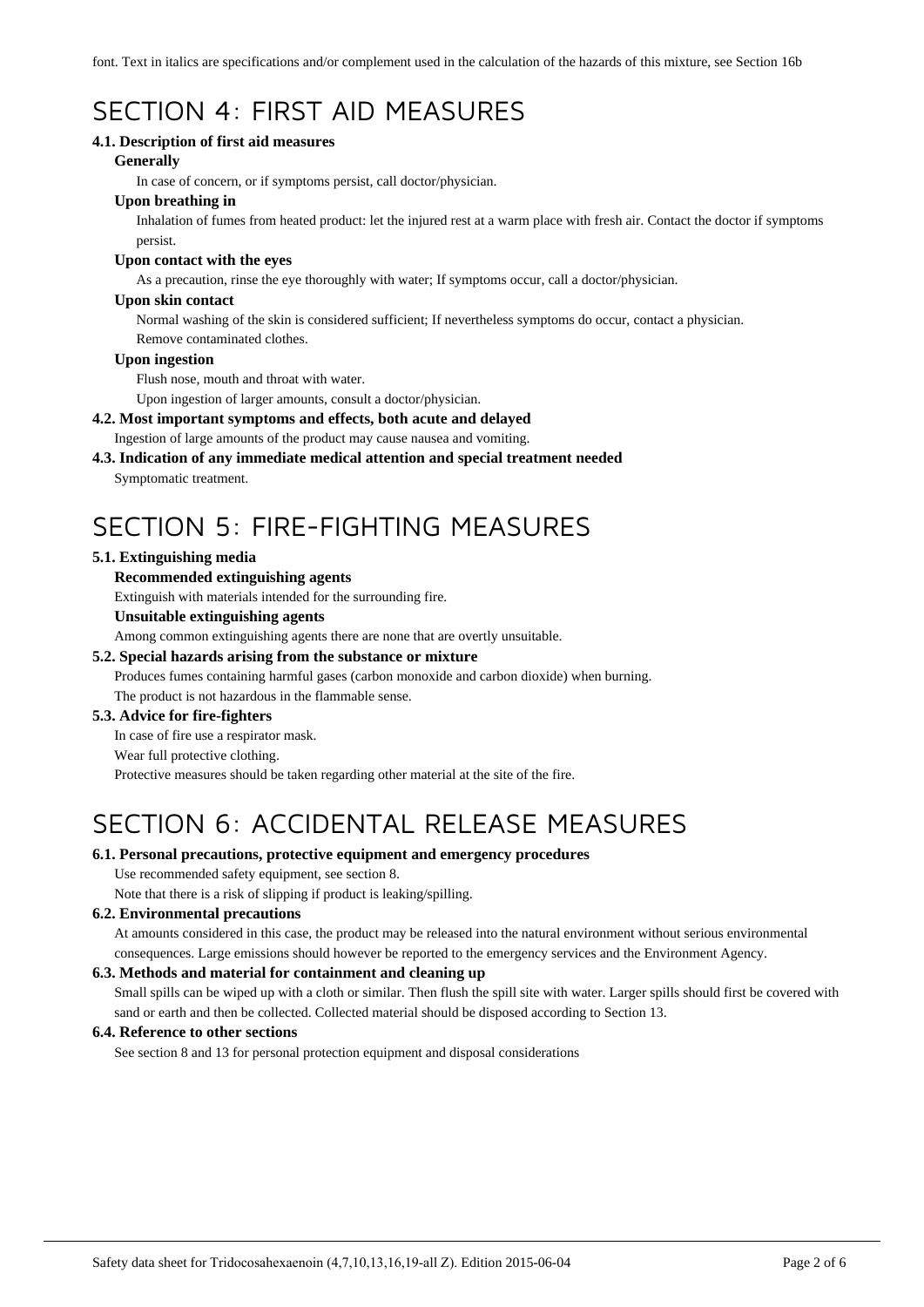font. Text in italics are specifications and/or complement used in the calculation of the hazards of this mixture, see Section 16b

# SECTION 4: FIRST AID MEASURES

### **4.1. Description of first aid measures**

#### **Generally**

In case of concern, or if symptoms persist, call doctor/physician.

### **Upon breathing in**

Inhalation of fumes from heated product: let the injured rest at a warm place with fresh air. Contact the doctor if symptoms persist.

#### **Upon contact with the eyes**

As a precaution, rinse the eye thoroughly with water; If symptoms occur, call a doctor/physician.

#### **Upon skin contact**

Normal washing of the skin is considered sufficient; If nevertheless symptoms do occur, contact a physician. Remove contaminated clothes.

#### **Upon ingestion**

Flush nose, mouth and throat with water.

Upon ingestion of larger amounts, consult a doctor/physician.

### **4.2. Most important symptoms and effects, both acute and delayed**

Ingestion of large amounts of the product may cause nausea and vomiting.

# **4.3. Indication of any immediate medical attention and special treatment needed**

Symptomatic treatment.

# SECTION 5: FIRE-FIGHTING MEASURES

### **5.1. Extinguishing media**

### **Recommended extinguishing agents**

Extinguish with materials intended for the surrounding fire.

#### **Unsuitable extinguishing agents**

Among common extinguishing agents there are none that are overtly unsuitable.

### **5.2. Special hazards arising from the substance or mixture**

Produces fumes containing harmful gases (carbon monoxide and carbon dioxide) when burning. The product is not hazardous in the flammable sense.

### **5.3. Advice for fire-fighters**

In case of fire use a respirator mask.

#### Wear full protective clothing.

Protective measures should be taken regarding other material at the site of the fire.

# SECTION 6: ACCIDENTAL RELEASE MEASURES

### **6.1. Personal precautions, protective equipment and emergency procedures**

Use recommended safety equipment, see section 8.

Note that there is a risk of slipping if product is leaking/spilling.

### **6.2. Environmental precautions**

At amounts considered in this case, the product may be released into the natural environment without serious environmental consequences. Large emissions should however be reported to the emergency services and the Environment Agency.

### **6.3. Methods and material for containment and cleaning up**

Small spills can be wiped up with a cloth or similar. Then flush the spill site with water. Larger spills should first be covered with sand or earth and then be collected. Collected material should be disposed according to Section 13.

### **6.4. Reference to other sections**

See section 8 and 13 for personal protection equipment and disposal considerations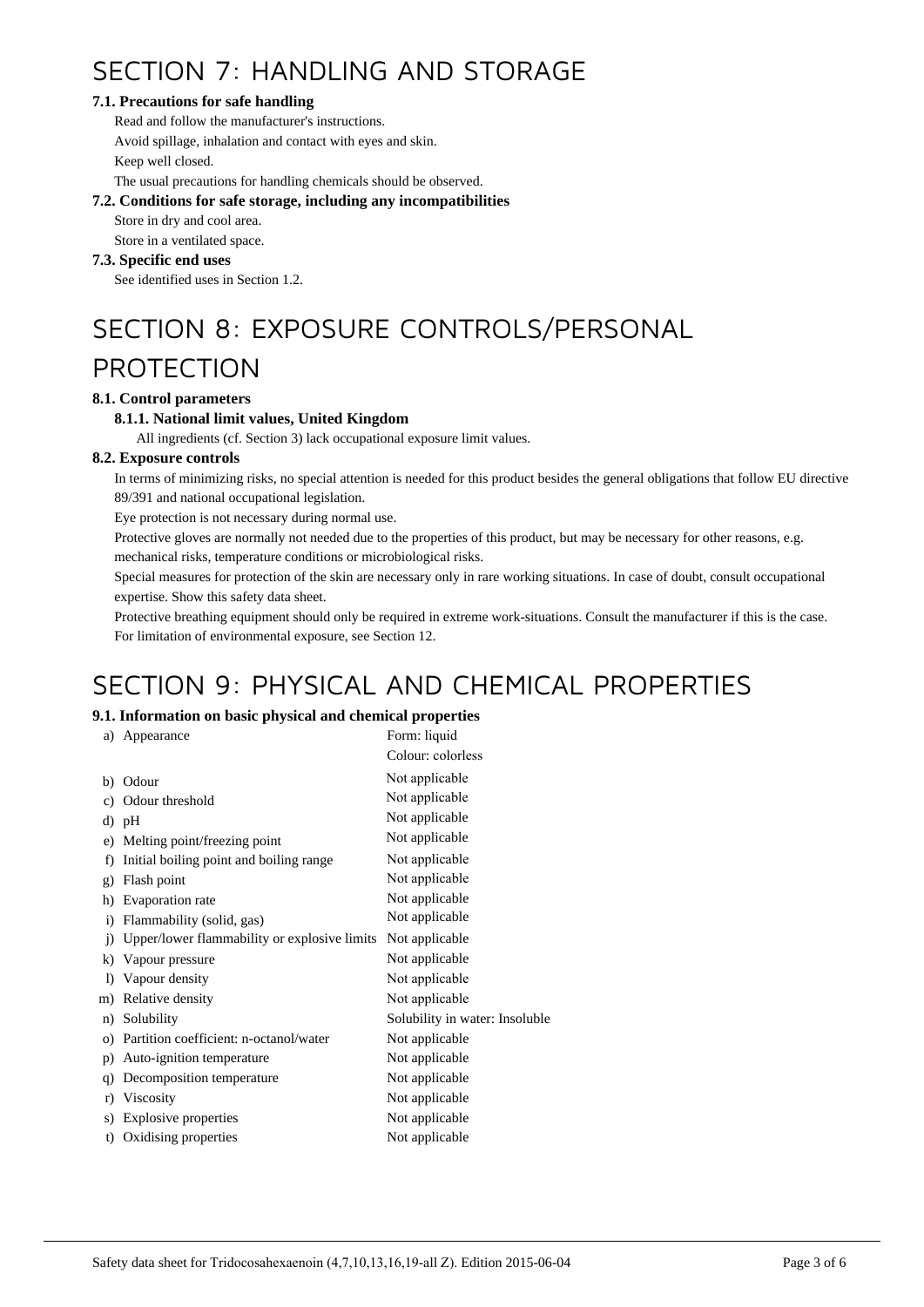# SECTION 7: HANDLING AND STORAGE

### **7.1. Precautions for safe handling**

Read and follow the manufacturer's instructions. Avoid spillage, inhalation and contact with eyes and skin. Keep well closed.

The usual precautions for handling chemicals should be observed.

### **7.2. Conditions for safe storage, including any incompatibilities**

Store in dry and cool area.

Store in a ventilated space.

### **7.3. Specific end uses**

See identified uses in Section 1.2.

# SECTION 8: EXPOSURE CONTROLS/PERSONAL

# PROTECTION

### **8.1. Control parameters**

### **8.1.1. National limit values, United Kingdom**

All ingredients (cf. Section 3) lack occupational exposure limit values.

### **8.2. Exposure controls**

In terms of minimizing risks, no special attention is needed for this product besides the general obligations that follow EU directive 89/391 and national occupational legislation.

Eye protection is not necessary during normal use.

Protective gloves are normally not needed due to the properties of this product, but may be necessary for other reasons, e.g.

mechanical risks, temperature conditions or microbiological risks.

Special measures for protection of the skin are necessary only in rare working situations. In case of doubt, consult occupational expertise. Show this safety data sheet.

Protective breathing equipment should only be required in extreme work-situations. Consult the manufacturer if this is the case. For limitation of environmental exposure, see Section 12.

# SECTION 9: PHYSICAL AND CHEMICAL PROPERTIES

### **9.1. Information on basic physical and chemical properties**

| a)           | Appearance                                   | Form: liquid                   |
|--------------|----------------------------------------------|--------------------------------|
|              |                                              | Colour: colorless              |
|              | b) Odour                                     | Not applicable                 |
| c)           | Odour threshold                              | Not applicable                 |
|              | d) pH                                        | Not applicable                 |
| e)           | Melting point/freezing point                 | Not applicable                 |
| f)           | Initial boiling point and boiling range      | Not applicable                 |
| g)           | Flash point                                  | Not applicable                 |
| h)           | Evaporation rate                             | Not applicable                 |
| $\mathbf{i}$ | Flammability (solid, gas)                    | Not applicable                 |
| $\ddot{1}$   | Upper/lower flammability or explosive limits | Not applicable                 |
| k)           | Vapour pressure                              | Not applicable                 |
| $\bf{D}$     | Vapour density                               | Not applicable                 |
| m)           | Relative density                             | Not applicable                 |
|              | n) Solubility                                | Solubility in water: Insoluble |
|              | o) Partition coefficient: n-octanol/water    | Not applicable                 |
| p)           | Auto-ignition temperature                    | Not applicable                 |
| q)           | Decomposition temperature                    | Not applicable                 |
| r)           | Viscosity                                    | Not applicable                 |
| s)           | Explosive properties                         | Not applicable                 |
| t)           | Oxidising properties                         | Not applicable                 |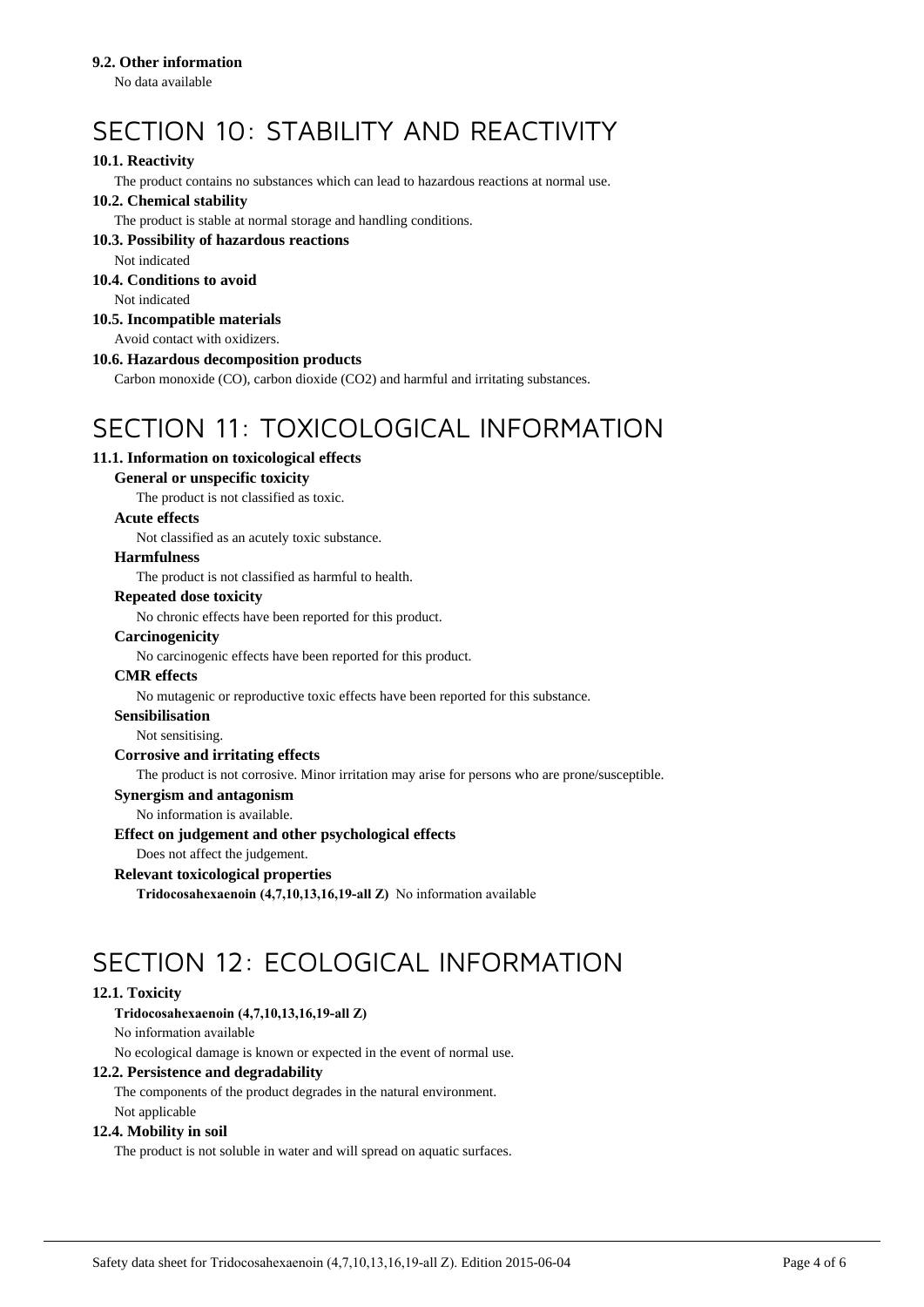#### **9.2. Other information**

No data available

# SECTION 10: STABILITY AND REACTIVITY

### **10.1. Reactivity**

The product contains no substances which can lead to hazardous reactions at normal use.

### **10.2. Chemical stability**

The product is stable at normal storage and handling conditions.

#### **10.3. Possibility of hazardous reactions**

Not indicated

# **10.4. Conditions to avoid**

Not indicated

# **10.5. Incompatible materials**

Avoid contact with oxidizers.

### **10.6. Hazardous decomposition products**

Carbon monoxide (CO), carbon dioxide (CO2) and harmful and irritating substances.

# SECTION 11: TOXICOLOGICAL INFORMATION

### **11.1. Information on toxicological effects**

#### **General or unspecific toxicity**

The product is not classified as toxic.

#### **Acute effects**

Not classified as an acutely toxic substance.

### **Harmfulness**

The product is not classified as harmful to health.

### **Repeated dose toxicity**

No chronic effects have been reported for this product.

#### **Carcinogenicity**

No carcinogenic effects have been reported for this product.

#### **CMR effects**

No mutagenic or reproductive toxic effects have been reported for this substance.

#### **Sensibilisation**

Not sensitising.

### **Corrosive and irritating effects**

The product is not corrosive. Minor irritation may arise for persons who are prone/susceptible.

### **Synergism and antagonism**

No information is available.

### **Effect on judgement and other psychological effects**

Does not affect the judgement.

# **Relevant toxicological properties**

**Tridocosahexaenoin (4,7,10,13,16,19-all Z)** No information available

# SECTION 12: ECOLOGICAL INFORMATION

### **12.1. Toxicity**

### **Tridocosahexaenoin (4,7,10,13,16,19-all Z)**

No information available

No ecological damage is known or expected in the event of normal use.

# **12.2. Persistence and degradability**

The components of the product degrades in the natural environment. Not applicable

# **12.4. Mobility in soil**

The product is not soluble in water and will spread on aquatic surfaces.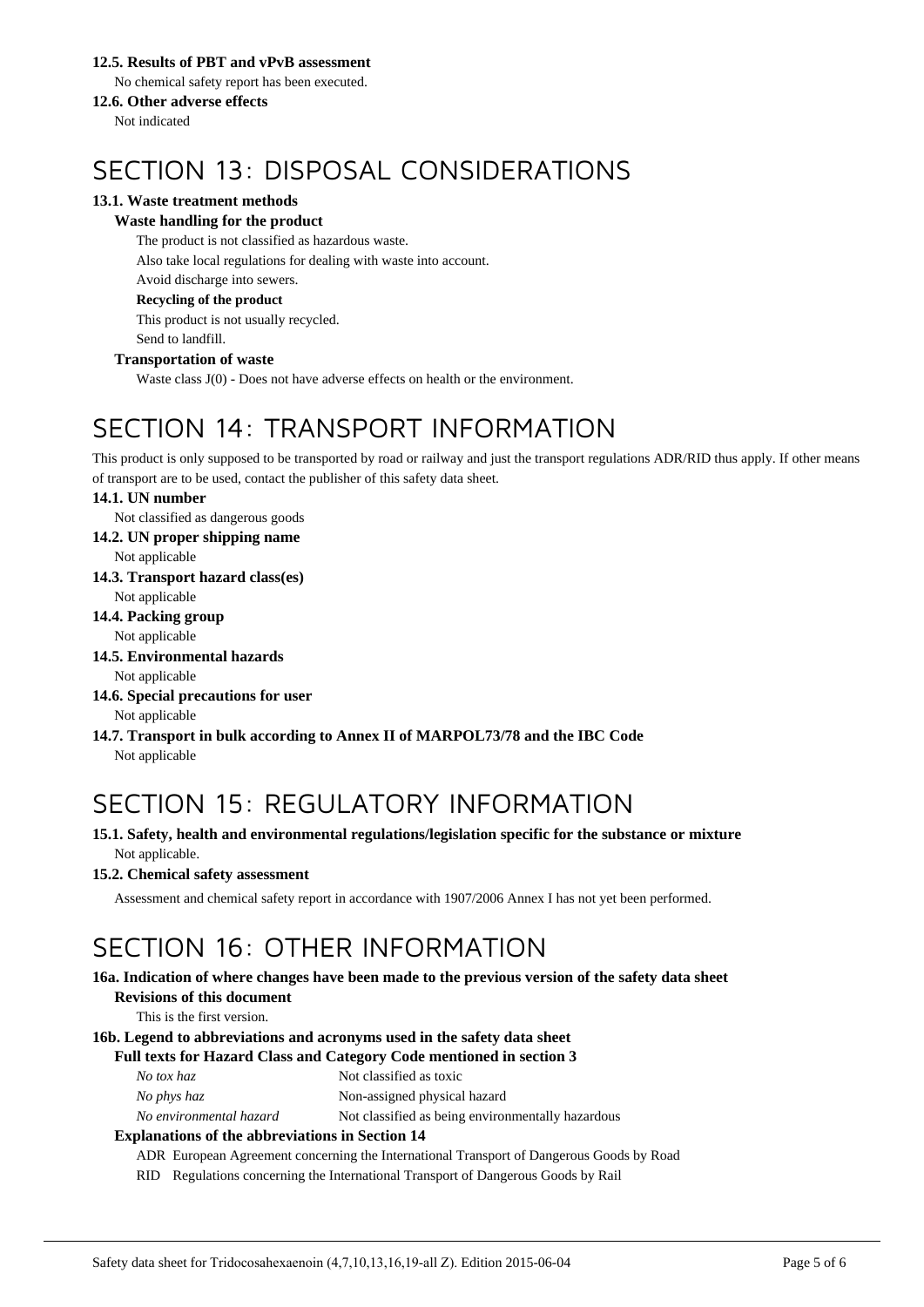### **12.5. Results of PBT and vPvB assessment**

No chemical safety report has been executed.

### **12.6. Other adverse effects**

Not indicated

# SECTION 13: DISPOSAL CONSIDERATIONS

### **13.1. Waste treatment methods**

### **Waste handling for the product**

The product is not classified as hazardous waste. Also take local regulations for dealing with waste into account. Avoid discharge into sewers. **Recycling of the product**

This product is not usually recycled. Send to landfill.

### **Transportation of waste**

Waste class J(0) - Does not have adverse effects on health or the environment.

# SECTION 14: TRANSPORT INFORMATION

This product is only supposed to be transported by road or railway and just the transport regulations ADR/RID thus apply. If other means of transport are to be used, contact the publisher of this safety data sheet.

### **14.1. UN number**

Not classified as dangerous goods

**14.2. UN proper shipping name**

Not applicable

**14.3. Transport hazard class(es)**

Not applicable

### **14.4. Packing group**

Not applicable

**14.5. Environmental hazards**

Not applicable

#### **14.6. Special precautions for user** Not applicable

**14.7. Transport in bulk according to Annex II of MARPOL73/78 and the IBC Code** Not applicable

# SECTION 15: REGULATORY INFORMATION

### **15.1. Safety, health and environmental regulations/legislation specific for the substance or mixture** Not applicable.

### **15.2. Chemical safety assessment**

Assessment and chemical safety report in accordance with 1907/2006 Annex I has not yet been performed.

# SECTION 16: OTHER INFORMATION

#### **16a. Indication of where changes have been made to the previous version of the safety data sheet Revisions of this document**

This is the first version.

### **16b. Legend to abbreviations and acronyms used in the safety data sheet**

### **Full texts for Hazard Class and Category Code mentioned in section 3**

*No phys haz* Non-assigned physical hazard

*No environmental hazard* Not classified as being environmentally hazardous

### **Explanations of the abbreviations in Section 14**

ADR European Agreement concerning the International Transport of Dangerous Goods by Road

RID Regulations concerning the International Transport of Dangerous Goods by Rail